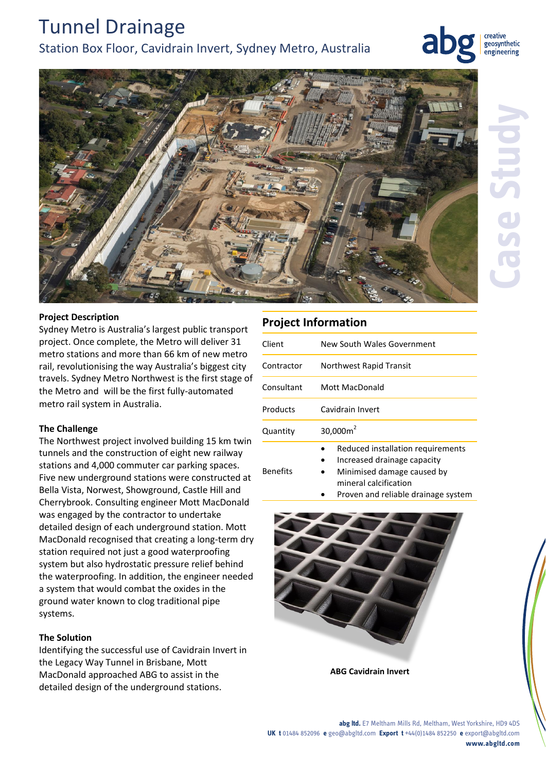# Tunnel Drainage

# Station Box Floor, Cavidrain Invert, Sydney Metro, Australia

creative geosynthetic engineering



### **Project Description**

Sydney Metro is Australia's largest public transport project. Once complete, the Metro will deliver 31 metro stations and more than 66 km of new metro rail, revolutionising the way Australia's biggest city travels. Sydney Metro Northwest is the first stage of the Metro and will be the first fully-automated metro rail system in Australia.

#### **The Challenge**

The Northwest project involved building 15 km twin tunnels and the construction of eight new railway stations and 4,000 commuter car parking spaces. Five new underground stations were constructed at Bella Vista, Norwest, Showground, Castle Hill and Cherrybrook. Consulting engineer Mott MacDonald was engaged by the contractor to undertake detailed design of each underground station. Mott MacDonald recognised that creating a long-term dry station required not just a good waterproofing system but also hydrostatic pressure relief behind the waterproofing. In addition, the engineer needed a system that would combat the oxides in the ground water known to clog traditional pipe systems.

## **The Solution**

Identifying the successful use of Cavidrain Invert in the Legacy Way Tunnel in Brisbane, Mott MacDonald approached ABG to assist in the detailed design of the underground stations.

# **Project Information**

Benefits

| Client     | New South Wales Government        |
|------------|-----------------------------------|
| Contractor | Northwest Rapid Transit           |
| Consultant | Mott MacDonald                    |
| Products   | Cavidrain Invert                  |
| Quantity   | $30,000m^2$                       |
|            | Reduced installation requirements |

- Increased drainage capacity
	- Minimised damage caused by mineral calcification
	- Proven and reliable drainage system



**ABG Cavidrain Invert**